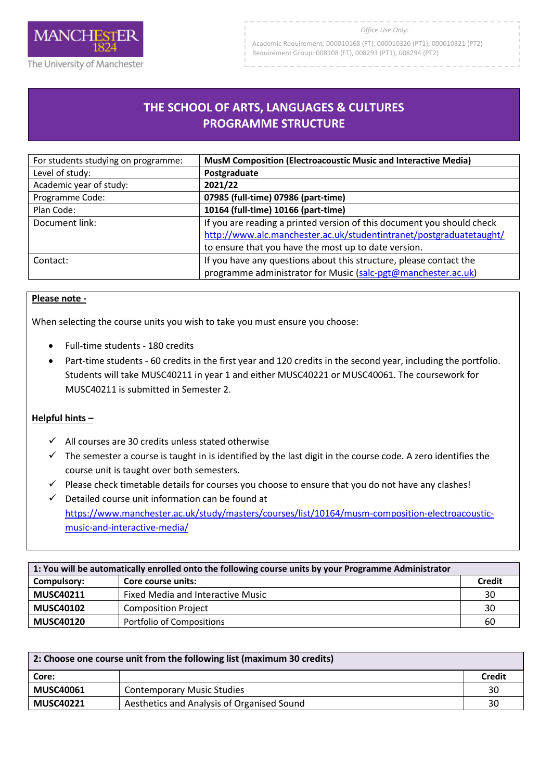

Academic Requirement: 000010168 (FT), 000010320 (PT1), 000010321 (PT2) Requirement Group: 008108 (FT), 008293 (PT1), 008294 (PT2)

## **THE SCHOOL OF ARTS, LANGUAGES & CULTURES PROGRAMME STRUCTURE**

R

| For students studying on programme: | MusM Composition (Electroacoustic Music and Interactive Media)         |
|-------------------------------------|------------------------------------------------------------------------|
| Level of study:                     | Postgraduate                                                           |
| Academic year of study:             | 2021/22                                                                |
| Programme Code:                     | 07985 (full-time) 07986 (part-time)                                    |
| Plan Code:                          | 10164 (full-time) 10166 (part-time)                                    |
| Document link:                      | If you are reading a printed version of this document you should check |
|                                     | http://www.alc.manchester.ac.uk/studentintranet/postgraduatetaught/    |
|                                     | to ensure that you have the most up to date version.                   |
| Contact:                            | If you have any questions about this structure, please contact the     |
|                                     | programme administrator for Music (salc-pgt@manchester.ac.uk)          |

## **Please note -**

When selecting the course units you wish to take you must ensure you choose:

- Full-time students 180 credits
- Part-time students 60 credits in the first year and 120 credits in the second year, including the portfolio. Students will take MUSC40211 in year 1 and either MUSC40221 or MUSC40061. The coursework for MUSC40211 is submitted in Semester 2.

## **Helpful hints –**

- $\checkmark$  All courses are 30 credits unless stated otherwise
- $\checkmark$  The semester a course is taught in is identified by the last digit in the course code. A zero identifies the course unit is taught over both semesters.
- $\checkmark$  Please check timetable details for courses you choose to ensure that you do not have any clashes!
- $\checkmark$  Detailed course unit information can be found at [https://www.manchester.ac.uk/study/masters/courses/list/10164/musm-composition-electroacoustic](https://www.manchester.ac.uk/study/masters/courses/list/10164/musm-composition-electroacoustic-music-and-interactive-media/)[music-and-interactive-media/](https://www.manchester.ac.uk/study/masters/courses/list/10164/musm-composition-electroacoustic-music-and-interactive-media/)

| 1: You will be automatically enrolled onto the following course units by your Programme Administrator |                                   |               |
|-------------------------------------------------------------------------------------------------------|-----------------------------------|---------------|
| Compulsory:                                                                                           | Core course units:                | <b>Credit</b> |
| <b>MUSC40211</b>                                                                                      | Fixed Media and Interactive Music | 30            |
| <b>MUSC40102</b>                                                                                      | <b>Composition Project</b>        | 30            |
| <b>MUSC40120</b>                                                                                      | <b>Portfolio of Compositions</b>  | 60            |

| 2: Choose one course unit from the following list (maximum 30 credits) |                                            |        |
|------------------------------------------------------------------------|--------------------------------------------|--------|
| Core:                                                                  |                                            | Credit |
| <b>MUSC40061</b>                                                       | <b>Contemporary Music Studies</b>          | 30     |
| <b>MUSC40221</b>                                                       | Aesthetics and Analysis of Organised Sound | 30     |